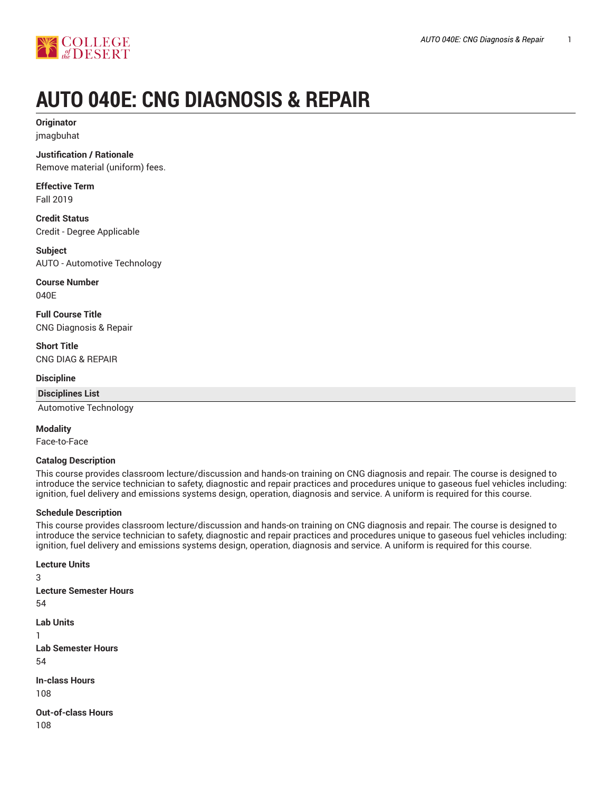

# **AUTO 040E: CNG DIAGNOSIS & REPAIR**

**Originator** jmagbuhat

**Justification / Rationale**

Remove material (uniform) fees.

**Effective Term** Fall 2019

**Credit Status** Credit - Degree Applicable

**Subject** AUTO - Automotive Technology

**Course Number** 040E

**Full Course Title** CNG Diagnosis & Repair

**Short Title** CNG DIAG & REPAIR

**Discipline**

**Disciplines List**

Automotive Technology

**Modality**

Face-to-Face

#### **Catalog Description**

This course provides classroom lecture/discussion and hands-on training on CNG diagnosis and repair. The course is designed to introduce the service technician to safety, diagnostic and repair practices and procedures unique to gaseous fuel vehicles including: ignition, fuel delivery and emissions systems design, operation, diagnosis and service. A uniform is required for this course.

## **Schedule Description**

This course provides classroom lecture/discussion and hands-on training on CNG diagnosis and repair. The course is designed to introduce the service technician to safety, diagnostic and repair practices and procedures unique to gaseous fuel vehicles including: ignition, fuel delivery and emissions systems design, operation, diagnosis and service. A uniform is required for this course.

**Lecture Units** 3 **Lecture Semester Hours** 54 **Lab Units** 1 **Lab Semester Hours** 54 **In-class Hours** 108 **Out-of-class Hours**

108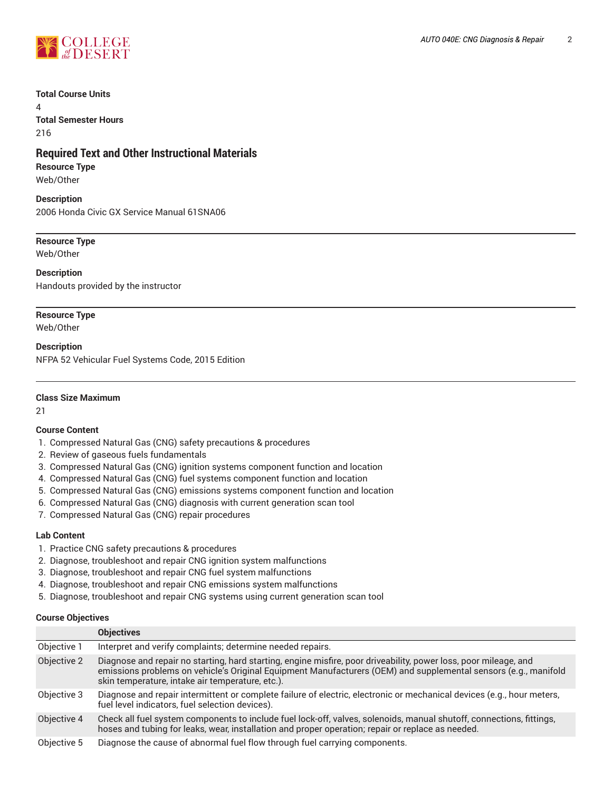

#### **Total Course Units**

4 **Total Semester Hours** 216

## **Required Text and Other Instructional Materials**

#### **Resource Type**

Web/Other

#### **Description**

2006 Honda Civic GX Service Manual 61SNA06

#### **Resource Type** Web/Other

**Description** Handouts provided by the instructor

## **Resource Type**

Web/Other

**Description** NFPA 52 Vehicular Fuel Systems Code, 2015 Edition

#### **Class Size Maximum**

21

## **Course Content**

- 1. Compressed Natural Gas (CNG) safety precautions & procedures
- 2. Review of gaseous fuels fundamentals
- 3. Compressed Natural Gas (CNG) ignition systems component function and location
- 4. Compressed Natural Gas (CNG) fuel systems component function and location
- 5. Compressed Natural Gas (CNG) emissions systems component function and location
- 6. Compressed Natural Gas (CNG) diagnosis with current generation scan tool
- 7. Compressed Natural Gas (CNG) repair procedures

#### **Lab Content**

- 1. Practice CNG safety precautions & procedures
- 2. Diagnose, troubleshoot and repair CNG ignition system malfunctions
- 3. Diagnose, troubleshoot and repair CNG fuel system malfunctions
- 4. Diagnose, troubleshoot and repair CNG emissions system malfunctions
- 5. Diagnose, troubleshoot and repair CNG systems using current generation scan tool

#### **Course Objectives**

|             | <b>Objectives</b>                                                                                                                                                                                                                                                                       |
|-------------|-----------------------------------------------------------------------------------------------------------------------------------------------------------------------------------------------------------------------------------------------------------------------------------------|
| Objective 1 | Interpret and verify complaints; determine needed repairs.                                                                                                                                                                                                                              |
| Objective 2 | Diagnose and repair no starting, hard starting, engine misfire, poor driveability, power loss, poor mileage, and<br>emissions problems on vehicle's Original Equipment Manufacturers (OEM) and supplemental sensors (e.g., manifold<br>skin temperature, intake air temperature, etc.). |
| Objective 3 | Diagnose and repair intermittent or complete failure of electric, electronic or mechanical devices (e.g., hour meters,<br>fuel level indicators, fuel selection devices).                                                                                                               |
| Objective 4 | Check all fuel system components to include fuel lock-off, valves, solenoids, manual shutoff, connections, fittings,<br>hoses and tubing for leaks, wear, installation and proper operation; repair or replace as needed.                                                               |
| Objective 5 | Diagnose the cause of abnormal fuel flow through fuel carrying components.                                                                                                                                                                                                              |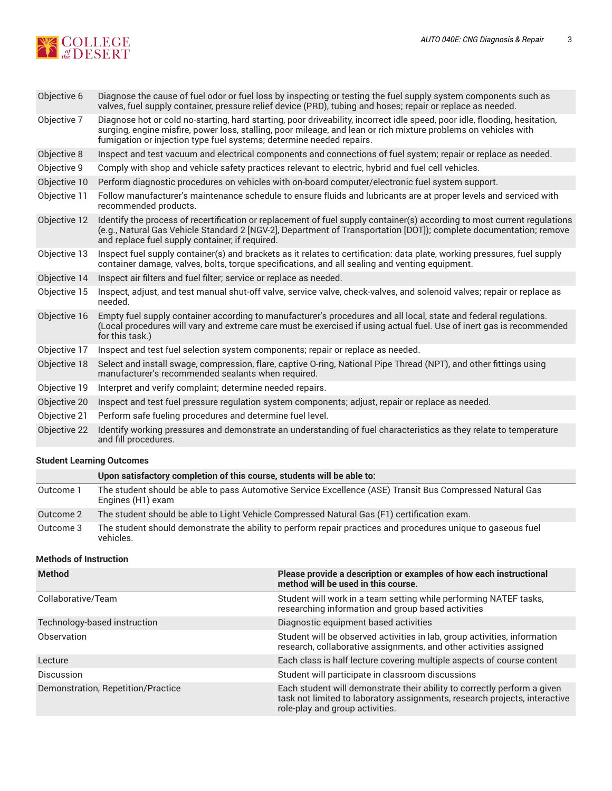

| Objective 6  | Diagnose the cause of fuel odor or fuel loss by inspecting or testing the fuel supply system components such as<br>valves, fuel supply container, pressure relief device (PRD), tubing and hoses; repair or replace as needed.                                                                                        |
|--------------|-----------------------------------------------------------------------------------------------------------------------------------------------------------------------------------------------------------------------------------------------------------------------------------------------------------------------|
| Objective 7  | Diagnose hot or cold no-starting, hard starting, poor driveability, incorrect idle speed, poor idle, flooding, hesitation,<br>surging, engine misfire, power loss, stalling, poor mileage, and lean or rich mixture problems on vehicles with<br>fumigation or injection type fuel systems; determine needed repairs. |
| Objective 8  | Inspect and test vacuum and electrical components and connections of fuel system; repair or replace as needed.                                                                                                                                                                                                        |
| Objective 9  | Comply with shop and vehicle safety practices relevant to electric, hybrid and fuel cell vehicles.                                                                                                                                                                                                                    |
| Objective 10 | Perform diagnostic procedures on vehicles with on-board computer/electronic fuel system support.                                                                                                                                                                                                                      |
| Objective 11 | Follow manufacturer's maintenance schedule to ensure fluids and lubricants are at proper levels and serviced with<br>recommended products.                                                                                                                                                                            |
| Objective 12 | Identify the process of recertification or replacement of fuel supply container(s) according to most current regulations<br>(e.g., Natural Gas Vehicle Standard 2 [NGV-2], Department of Transportation [DOT]); complete documentation; remove<br>and replace fuel supply container, if required.                     |
| Objective 13 | Inspect fuel supply container(s) and brackets as it relates to certification: data plate, working pressures, fuel supply<br>container damage, valves, bolts, torque specifications, and all sealing and venting equipment.                                                                                            |
| Objective 14 | Inspect air filters and fuel filter; service or replace as needed.                                                                                                                                                                                                                                                    |
| Objective 15 | Inspect, adjust, and test manual shut-off valve, service valve, check-valves, and solenoid valves; repair or replace as<br>needed.                                                                                                                                                                                    |
| Objective 16 | Empty fuel supply container according to manufacturer's procedures and all local, state and federal regulations.<br>(Local procedures will vary and extreme care must be exercised if using actual fuel. Use of inert gas is recommended<br>for this task.)                                                           |
| Objective 17 | Inspect and test fuel selection system components; repair or replace as needed.                                                                                                                                                                                                                                       |
| Objective 18 | Select and install swage, compression, flare, captive O-ring, National Pipe Thread (NPT), and other fittings using<br>manufacturer's recommended sealants when required.                                                                                                                                              |
| Objective 19 | Interpret and verify complaint; determine needed repairs.                                                                                                                                                                                                                                                             |
| Objective 20 | Inspect and test fuel pressure regulation system components; adjust, repair or replace as needed.                                                                                                                                                                                                                     |
| Objective 21 | Perform safe fueling procedures and determine fuel level.                                                                                                                                                                                                                                                             |
| Objective 22 | Identify working pressures and demonstrate an understanding of fuel characteristics as they relate to temperature<br>and fill procedures.                                                                                                                                                                             |
|              |                                                                                                                                                                                                                                                                                                                       |

## **Student Learning Outcomes**

|           | Upon satisfactory completion of this course, students will be able to:                                                         |
|-----------|--------------------------------------------------------------------------------------------------------------------------------|
| Outcome 1 | The student should be able to pass Automotive Service Excellence (ASE) Transit Bus Compressed Natural Gas<br>Engines (H1) exam |
| Outcome 2 | The student should be able to Light Vehicle Compressed Natural Gas (F1) certification exam.                                    |
| Outcome 3 | The student should demonstrate the ability to perform repair practices and procedures unique to gaseous fuel<br>vehicles.      |

#### **Methods of Instruction**

| <b>Method</b>                      | Please provide a description or examples of how each instructional<br>method will be used in this course.                                                                                 |
|------------------------------------|-------------------------------------------------------------------------------------------------------------------------------------------------------------------------------------------|
| Collaborative/Team                 | Student will work in a team setting while performing NATEF tasks,<br>researching information and group based activities                                                                   |
| Technology-based instruction       | Diagnostic equipment based activities                                                                                                                                                     |
| Observation                        | Student will be observed activities in lab, group activities, information<br>research, collaborative assignments, and other activities assigned                                           |
| Lecture                            | Each class is half lecture covering multiple aspects of course content                                                                                                                    |
| Discussion                         | Student will participate in classroom discussions                                                                                                                                         |
| Demonstration, Repetition/Practice | Each student will demonstrate their ability to correctly perform a given<br>task not limited to laboratory assignments, research projects, interactive<br>role-play and group activities. |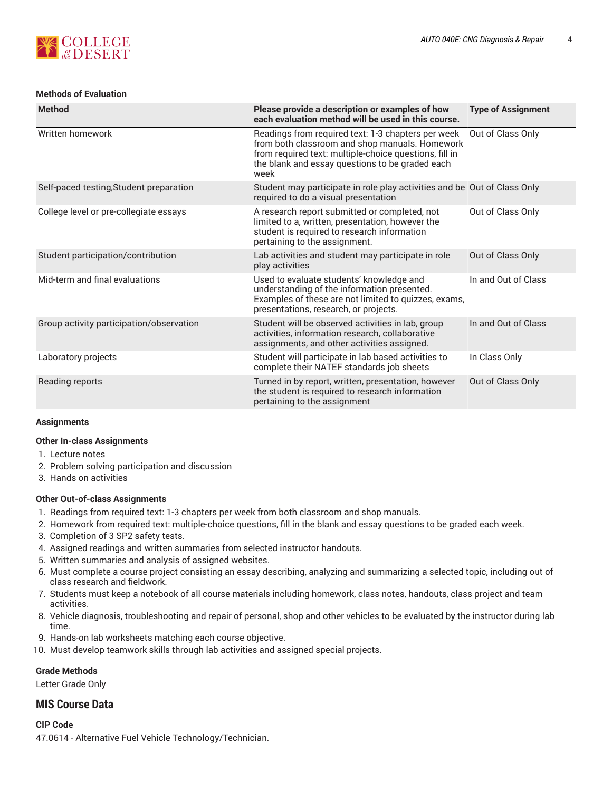

## **Methods of Evaluation**

| <b>Method</b>                            | Please provide a description or examples of how<br>each evaluation method will be used in this course.                                                                                                                    | <b>Type of Assignment</b> |
|------------------------------------------|---------------------------------------------------------------------------------------------------------------------------------------------------------------------------------------------------------------------------|---------------------------|
| Written homework                         | Readings from required text: 1-3 chapters per week<br>from both classroom and shop manuals. Homework<br>from required text: multiple-choice questions, fill in<br>the blank and essay questions to be graded each<br>week | Out of Class Only         |
| Self-paced testing, Student preparation  | Student may participate in role play activities and be Out of Class Only<br>required to do a visual presentation                                                                                                          |                           |
| College level or pre-collegiate essays   | A research report submitted or completed, not<br>limited to a, written, presentation, however the<br>student is required to research information<br>pertaining to the assignment.                                         | Out of Class Only         |
| Student participation/contribution       | Lab activities and student may participate in role<br>play activities                                                                                                                                                     | Out of Class Only         |
| Mid-term and final evaluations           | Used to evaluate students' knowledge and<br>understanding of the information presented.<br>Examples of these are not limited to quizzes, exams,<br>presentations, research, or projects.                                  | In and Out of Class       |
| Group activity participation/observation | Student will be observed activities in lab, group<br>activities, information research, collaborative<br>assignments, and other activities assigned.                                                                       | In and Out of Class       |
| Laboratory projects                      | Student will participate in lab based activities to<br>complete their NATEF standards job sheets                                                                                                                          | In Class Only             |
| Reading reports                          | Turned in by report, written, presentation, however<br>the student is required to research information<br>pertaining to the assignment                                                                                    | Out of Class Only         |

## **Assignments**

#### **Other In-class Assignments**

- 1. Lecture notes
- 2. Problem solving participation and discussion
- 3. Hands on activities

## **Other Out-of-class Assignments**

- 1. Readings from required text: 1-3 chapters per week from both classroom and shop manuals.
- 2. Homework from required text: multiple-choice questions, fill in the blank and essay questions to be graded each week.
- 3. Completion of 3 SP2 safety tests.
- 4. Assigned readings and written summaries from selected instructor handouts.
- 5. Written summaries and analysis of assigned websites.
- 6. Must complete a course project consisting an essay describing, analyzing and summarizing a selected topic, including out of class research and fieldwork.
- 7. Students must keep a notebook of all course materials including homework, class notes, handouts, class project and team activities.
- 8. Vehicle diagnosis, troubleshooting and repair of personal, shop and other vehicles to be evaluated by the instructor during lab time.
- 9. Hands-on lab worksheets matching each course objective.
- 10. Must develop teamwork skills through lab activities and assigned special projects.

## **Grade Methods**

Letter Grade Only

## **MIS Course Data**

## **CIP Code**

47.0614 - Alternative Fuel Vehicle Technology/Technician.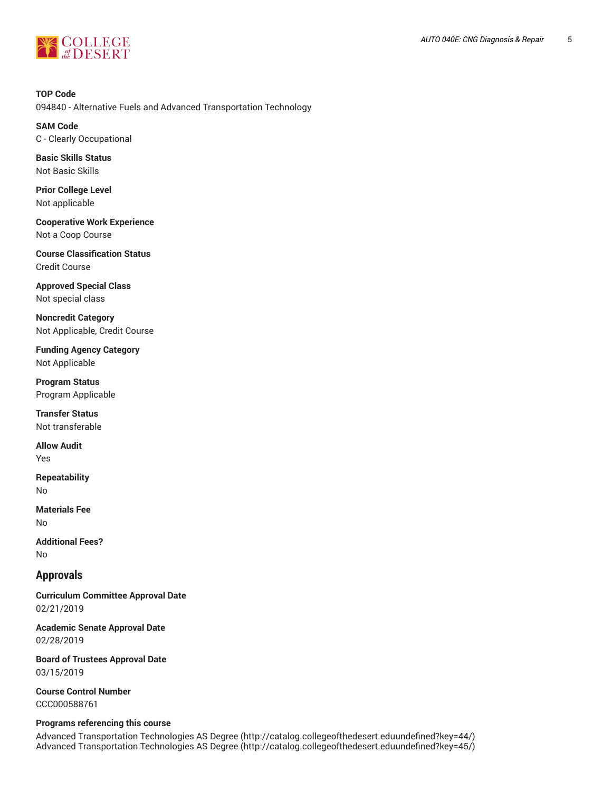

**TOP Code** 094840 - Alternative Fuels and Advanced Transportation Technology

**SAM Code** C - Clearly Occupational

**Basic Skills Status** Not Basic Skills

**Prior College Level** Not applicable

**Cooperative Work Experience** Not a Coop Course

**Course Classification Status** Credit Course

**Approved Special Class** Not special class

**Noncredit Category** Not Applicable, Credit Course

**Funding Agency Category** Not Applicable

**Program Status** Program Applicable

**Transfer Status** Not transferable

**Allow Audit** Yes

**Repeatability** No

**Materials Fee** No

**Additional Fees?** No

## **Approvals**

**Curriculum Committee Approval Date** 02/21/2019

**Academic Senate Approval Date** 02/28/2019

**Board of Trustees Approval Date** 03/15/2019

**Course Control Number** CCC000588761

## **Programs referencing this course**

Advanced [Transportation](http://catalog.collegeofthedesert.eduundefined?key=44/) Technologies AS Degree ([http://catalog.collegeofthedesert.eduundefined?key=44/\)](http://catalog.collegeofthedesert.eduundefined?key=44/) Advanced [Transportation](http://catalog.collegeofthedesert.eduundefined?key=45/) Technologies AS Degree ([http://catalog.collegeofthedesert.eduundefined?key=45/\)](http://catalog.collegeofthedesert.eduundefined?key=45/)